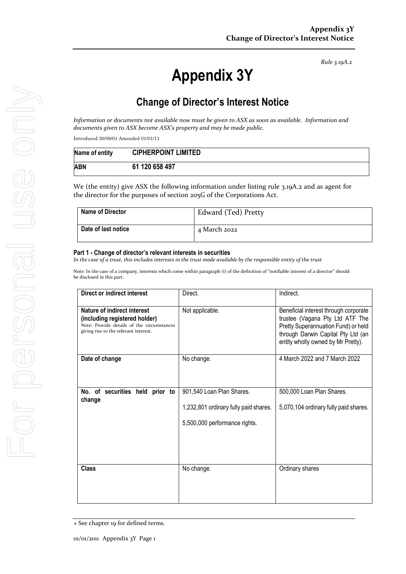*Rule 3.19A.2*

# **Appendix 3Y**

# **Change of Director's Interest Notice**

| Name of entity | <b>CIPHERPOINT LIMITED</b> |
|----------------|----------------------------|
| ABN            | 61 120 658 497             |

| <b>Name of Director</b> | Edward (Ted) Pretty |
|-------------------------|---------------------|
| Date of last notice     | 4 March 2022        |

#### **Part 1 - Change of director's relevant interests in securities**

|                         | Introduced 30/09/01 Amended 01/01/11                                                                                 |                                                                        |                                                                                                                                                       |
|-------------------------|----------------------------------------------------------------------------------------------------------------------|------------------------------------------------------------------------|-------------------------------------------------------------------------------------------------------------------------------------------------------|
| Name of entity          | <b>CIPHERPOINT LIMITED</b>                                                                                           |                                                                        |                                                                                                                                                       |
| <b>ABN</b>              | 61 120 658 497                                                                                                       |                                                                        |                                                                                                                                                       |
|                         | the director for the purposes of section 205G of the Corporations Act.                                               |                                                                        | We (the entity) give ASX the following information under listing rule 3.19A.2 and as agent for                                                        |
| <b>Name of Director</b> |                                                                                                                      |                                                                        | Edward (Ted) Pretty                                                                                                                                   |
| Date of last notice     |                                                                                                                      | 4 March 2022                                                           |                                                                                                                                                       |
|                         | <b>Direct or indirect interest</b><br>Nature of indirect interest                                                    | Direct.<br>Not applicable.                                             | Indirect.                                                                                                                                             |
|                         | (including registered holder)<br>Note: Provide details of the circumstances<br>giving rise to the relevant interest. |                                                                        | Beneficial interest through corporate<br>trustee (Vagana Pty Ltd ATF The<br>Pretty Superannuation Fund) or held<br>through Darwin Capital Pty Ltd (an |
| Date of change          |                                                                                                                      | No change.                                                             |                                                                                                                                                       |
| change                  | No. of securities held prior to   901,540 Loan Plan Shares.                                                          |                                                                        | entity wholly owned by Mr Pretty).<br>4 March 2022 and 7 March 2022<br>500,000 Loan Plan Shares.                                                      |
|                         |                                                                                                                      | 1,232,801 ordinary fully paid shares.<br>5,500,000 performance rights. |                                                                                                                                                       |
|                         |                                                                                                                      |                                                                        | 5,070,104 ordinary fully paid shares.                                                                                                                 |

<sup>+</sup> See chapter 19 for defined terms.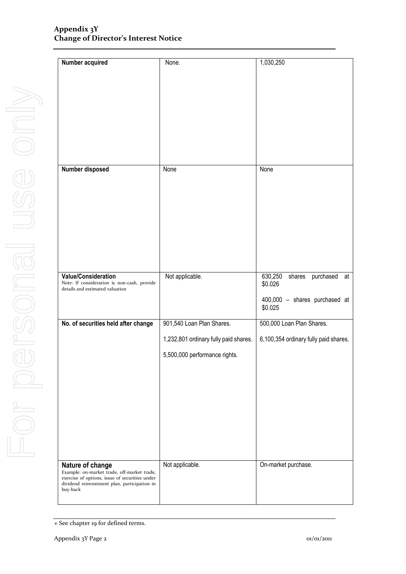| <b>Number acquired</b>                                                                         | None.                                 | 1,030,250                             |
|------------------------------------------------------------------------------------------------|---------------------------------------|---------------------------------------|
|                                                                                                |                                       |                                       |
|                                                                                                |                                       |                                       |
|                                                                                                |                                       |                                       |
|                                                                                                |                                       |                                       |
|                                                                                                |                                       |                                       |
|                                                                                                |                                       |                                       |
|                                                                                                |                                       |                                       |
|                                                                                                |                                       |                                       |
| Number disposed                                                                                | None                                  | None                                  |
|                                                                                                |                                       |                                       |
|                                                                                                |                                       |                                       |
|                                                                                                |                                       |                                       |
|                                                                                                |                                       |                                       |
|                                                                                                |                                       |                                       |
|                                                                                                |                                       |                                       |
|                                                                                                |                                       |                                       |
|                                                                                                |                                       |                                       |
| <b>Value/Consideration</b>                                                                     | Not applicable.                       | 630,250<br>purchased<br>shares<br>at  |
| Note: If consideration is non-cash, provide                                                    |                                       | \$0.026                               |
| details and estimated valuation                                                                |                                       | 400,000 - shares purchased at         |
|                                                                                                |                                       | \$0.025                               |
| No. of securities held after change                                                            | 901,540 Loan Plan Shares.             | 500,000 Loan Plan Shares.             |
|                                                                                                |                                       |                                       |
|                                                                                                | 1,232,801 ordinary fully paid shares. | 6,100,354 ordinary fully paid shares. |
|                                                                                                | 5,500,000 performance rights.         |                                       |
|                                                                                                |                                       |                                       |
|                                                                                                |                                       |                                       |
|                                                                                                |                                       |                                       |
|                                                                                                |                                       |                                       |
|                                                                                                |                                       |                                       |
|                                                                                                |                                       |                                       |
|                                                                                                |                                       |                                       |
|                                                                                                |                                       |                                       |
|                                                                                                |                                       |                                       |
| Nature of change<br>Example: on-market trade, off-market trade,                                | Not applicable.                       | On-market purchase.                   |
| exercise of options, issue of securities under<br>dividend reinvestment plan, participation in |                                       |                                       |
| buy-back                                                                                       |                                       |                                       |
|                                                                                                |                                       |                                       |

<sup>+</sup> See chapter 19 for defined terms.